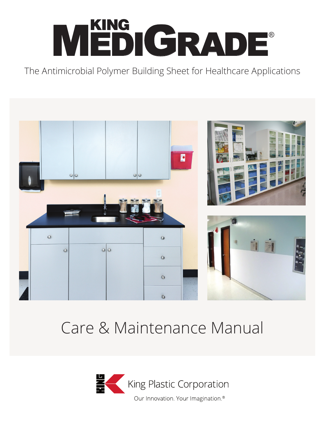# MEDIGRADE® KING

The Antimicrobial Polymer Building Sheet for Healthcare Applications



# Care & Maintenance Manual

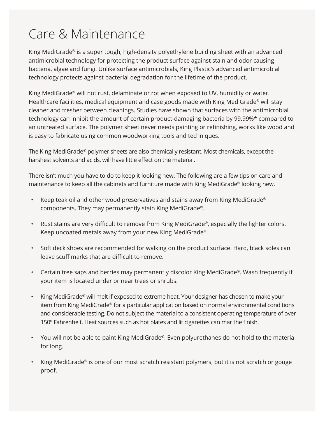#### Care & Maintenance

King MediGrade® is a super tough, high-density polyethylene building sheet with an advanced antimicrobial technology for protecting the product surface against stain and odor causing bacteria, algae and fungi. Unlike surface antimicrobials, King Plastic's advanced antimicrobial technology protects against bacterial degradation for the lifetime of the product.

King MediGrade® will not rust, delaminate or rot when exposed to UV, humidity or water. Healthcare facilities, medical equipment and case goods made with King MediGrade® will stay cleaner and fresher between cleanings. Studies have shown that surfaces with the antimicrobial technology can inhibit the amount of certain product-damaging bacteria by 99.99%\* compared to an untreated surface. The polymer sheet never needs painting or refinishing, works like wood and is easy to fabricate using common woodworking tools and techniques.

The King MediGrade® polymer sheets are also chemically resistant. Most chemicals, except the harshest solvents and acids, will have little effect on the material.

There isn't much you have to do to keep it looking new. The following are a few tips on care and maintenance to keep all the cabinets and furniture made with King MediGrade® looking new.

- Keep teak oil and other wood preservatives and stains away from King MediGrade® components. They may permanently stain King MediGrade®.
- Rust stains are very difficult to remove from King MediGrade®, especially the lighter colors. Keep uncoated metals away from your new King MediGrade®.
- Soft deck shoes are recommended for walking on the product surface. Hard, black soles can leave scuff marks that are difficult to remove.
- Certain tree saps and berries may permanently discolor King MediGrade®. Wash frequently if your item is located under or near trees or shrubs.
- King MediGrade® will melt if exposed to extreme heat. Your designer has chosen to make your item from King MediGrade® for a particular application based on normal environmental conditions and considerable testing. Do not subject the material to a consistent operating temperature of over 150° Fahrenheit. Heat sources such as hot plates and lit cigarettes can mar the finish.
- You will not be able to paint King MediGrade®. Even polyurethanes do not hold to the material for long.
- King MediGrade® is one of our most scratch resistant polymers, but it is not scratch or gouge proof.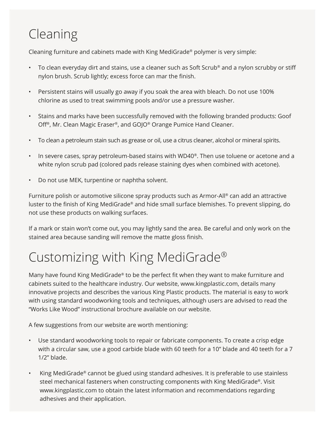# Cleaning

Cleaning furniture and cabinets made with King MediGrade® polymer is very simple:

- To clean everyday dirt and stains, use a cleaner such as Soft Scrub® and a nylon scrubby or stiff nylon brush. Scrub lightly; excess force can mar the finish.
- Persistent stains will usually go away if you soak the area with bleach. Do not use 100% chlorine as used to treat swimming pools and/or use a pressure washer.
- Stains and marks have been successfully removed with the following branded products: Goof Off®, Mr. Clean Magic Eraser®, and GOJO® Orange Pumice Hand Cleaner.
- To clean a petroleum stain such as grease or oil, use a citrus cleaner, alcohol or mineral spirits.
- In severe cases, spray petroleum-based stains with WD40®. Then use toluene or acetone and a white nylon scrub pad (colored pads release staining dyes when combined with acetone).
- Do not use MEK, turpentine or naphtha solvent.

Furniture polish or automotive silicone spray products such as Armor-All® can add an attractive luster to the finish of King MediGrade® and hide small surface blemishes. To prevent slipping, do not use these products on walking surfaces.

If a mark or stain won't come out, you may lightly sand the area. Be careful and only work on the stained area because sanding will remove the matte gloss finish.

## Customizing with King MediGrade®

Many have found King MediGrade® to be the perfect fit when they want to make furniture and cabinets suited to the healthcare industry. Our website, www.kingplastic.com, details many innovative projects and describes the various King Plastic products. The material is easy to work with using standard woodworking tools and techniques, although users are advised to read the "Works Like Wood" instructional brochure available on our website.

A few suggestions from our website are worth mentioning:

- Use standard woodworking tools to repair or fabricate components. To create a crisp edge with a circular saw, use a good carbide blade with 60 teeth for a 10" blade and 40 teeth for a 7 1/2" blade.
- King MediGrade® cannot be glued using standard adhesives. It is preferable to use stainless steel mechanical fasteners when constructing components with King MediGrade®. Visit www.kingplastic.com to obtain the latest information and recommendations regarding adhesives and their application.